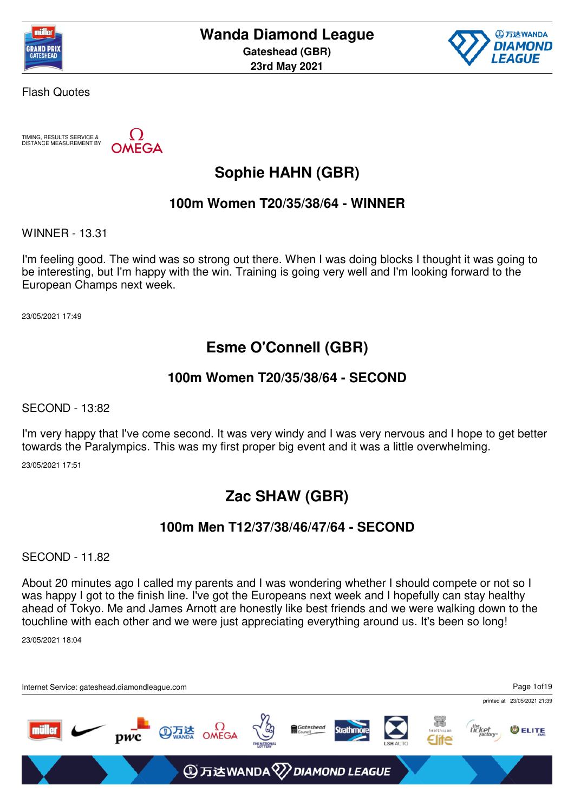



TIMING, RESULTS SERVICE & DISTANCE MEASUREMENT BY

**AEGA** 

## **Sophie HAHN (GBR)**

#### **100m Women T20/35/38/64 - WINNER**

WINNER - 13.31

I'm feeling good. The wind was so strong out there. When I was doing blocks I thought it was going to be interesting, but I'm happy with the win. Training is going very well and I'm looking forward to the European Champs next week.

23/05/2021 17:49

### **Esme O'Connell (GBR)**

#### **100m Women T20/35/38/64 - SECOND**

SECOND - 13:82

I'm very happy that I've come second. It was very windy and I was very nervous and I hope to get better towards the Paralympics. This was my first proper big event and it was a little overwhelming.

23/05/2021 17:51

## **Zac SHAW (GBR)**

#### **100m Men T12/37/38/46/47/64 - SECOND**

SECOND - 11.82

About 20 minutes ago I called my parents and I was wondering whether I should compete or not so I was happy I got to the finish line. I've got the Europeans next week and I hopefully can stay healthy ahead of Tokyo. Me and James Arnott are honestly like best friends and we were walking down to the touchline with each other and we were just appreciating everything around us. It's been so long!

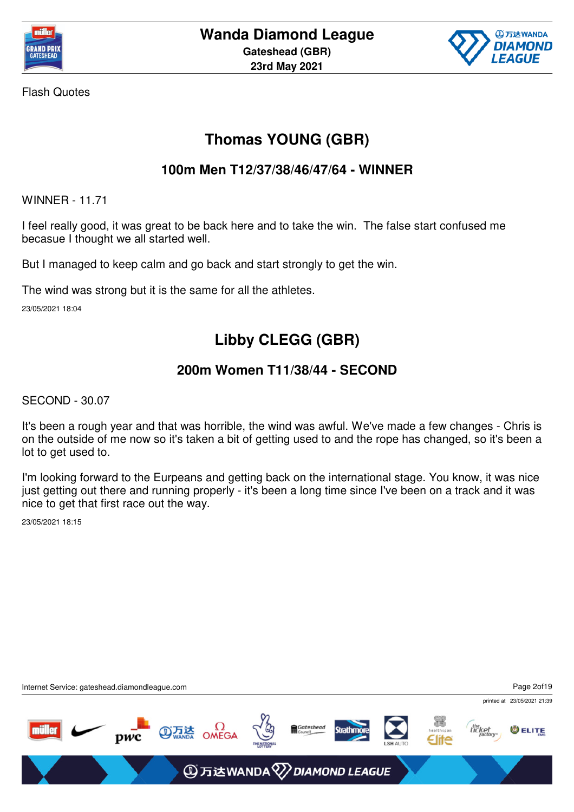



## **Thomas YOUNG (GBR)**

#### **100m Men T12/37/38/46/47/64 - WINNER**

WINNER - 11.71

I feel really good, it was great to be back here and to take the win. The false start confused me becasue I thought we all started well.

But I managed to keep calm and go back and start strongly to get the win.

The wind was strong but it is the same for all the athletes.

23/05/2021 18:04

## **Libby CLEGG (GBR)**

### **200m Women T11/38/44 - SECOND**

SECOND - 30.07

It's been a rough year and that was horrible, the wind was awful. We've made a few changes - Chris is on the outside of me now so it's taken a bit of getting used to and the rope has changed, so it's been a lot to get used to.

I'm looking forward to the Eurpeans and getting back on the international stage. You know, it was nice just getting out there and running properly - it's been a long time since I've been on a track and it was nice to get that first race out the way.

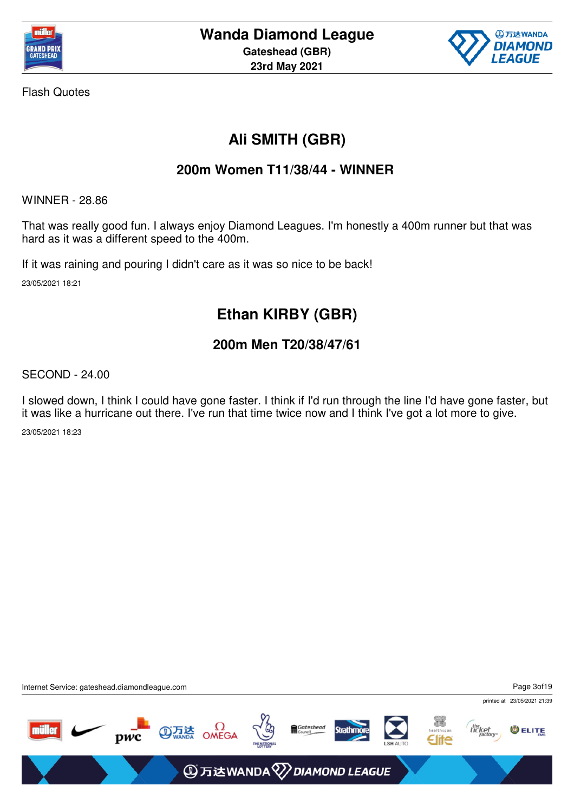



# **Ali SMITH (GBR)**

#### **200m Women T11/38/44 - WINNER**

WINNER - 28.86

That was really good fun. I always enjoy Diamond Leagues. I'm honestly a 400m runner but that was hard as it was a different speed to the 400m.

If it was raining and pouring I didn't care as it was so nice to be back! 23/05/2021 18:21

## **Ethan KIRBY (GBR)**

### **200m Men T20/38/47/61**

SECOND - 24.00

I slowed down, I think I could have gone faster. I think if I'd run through the line I'd have gone faster, but it was like a hurricane out there. I've run that time twice now and I think I've got a lot more to give.

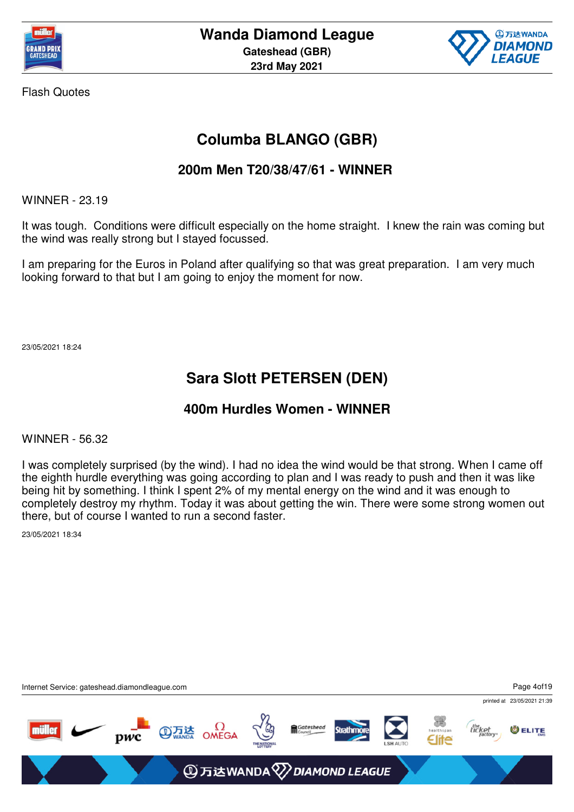



## **Columba BLANGO (GBR)**

#### **200m Men T20/38/47/61 - WINNER**

WINNER - 23.19

It was tough. Conditions were difficult especially on the home straight. I knew the rain was coming but the wind was really strong but I stayed focussed.

I am preparing for the Euros in Poland after qualifying so that was great preparation. I am very much looking forward to that but I am going to enjoy the moment for now.

23/05/2021 18:24

### **Sara Slott PETERSEN (DEN)**

#### **400m Hurdles Women - WINNER**

WINNER - 56.32

I was completely surprised (by the wind). I had no idea the wind would be that strong. When I came off the eighth hurdle everything was going according to plan and I was ready to push and then it was like being hit by something. I think I spent 2% of my mental energy on the wind and it was enough to completely destroy my rhythm. Today it was about getting the win. There were some strong women out there, but of course I wanted to run a second faster.

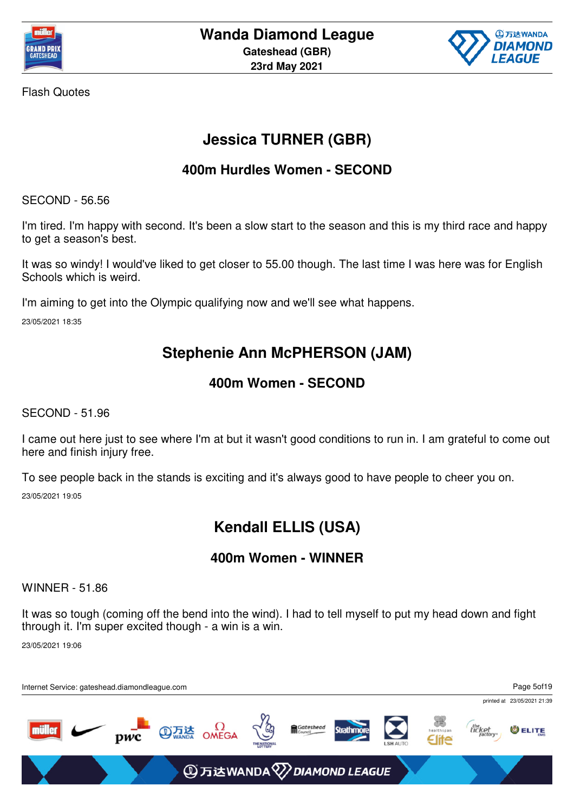



# **Jessica TURNER (GBR)**

### **400m Hurdles Women - SECOND**

SECOND - 56.56

I'm tired. I'm happy with second. It's been a slow start to the season and this is my third race and happy to get a season's best.

It was so windy! I would've liked to get closer to 55.00 though. The last time I was here was for English Schools which is weird.

I'm aiming to get into the Olympic qualifying now and we'll see what happens.

23/05/2021 18:35

## **Stephenie Ann McPHERSON (JAM)**

### **400m Women - SECOND**

SECOND - 51.96

I came out here just to see where I'm at but it wasn't good conditions to run in. I am grateful to come out here and finish injury free.

To see people back in the stands is exciting and it's always good to have people to cheer you on. 23/05/2021 19:05

# **Kendall ELLIS (USA)**

### **400m Women - WINNER**

WINNER - 51.86

It was so tough (coming off the bend into the wind). I had to tell myself to put my head down and fight through it. I'm super excited though - a win is a win.

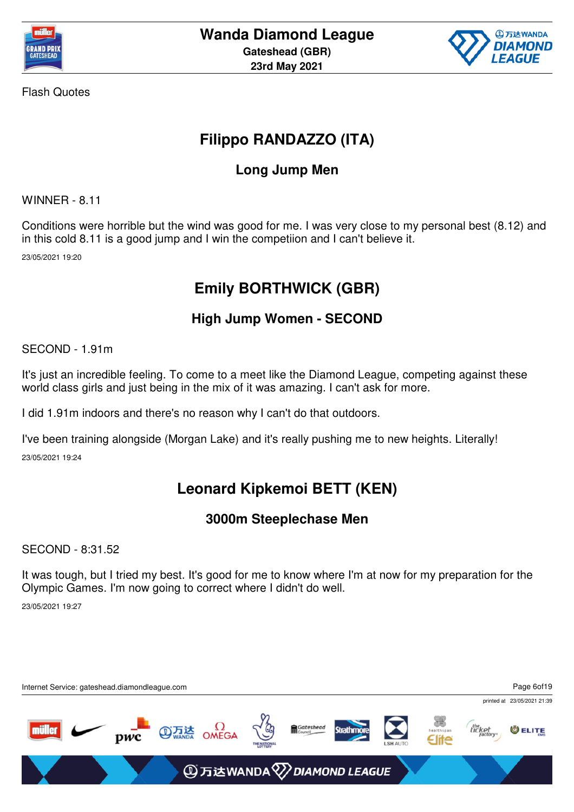



# **Filippo RANDAZZO (ITA)**

### **Long Jump Men**

WINNER - 8.11

Conditions were horrible but the wind was good for me. I was very close to my personal best (8.12) and in this cold 8.11 is a good jump and I win the competiion and I can't believe it.

23/05/2021 19:20

# **Emily BORTHWICK (GBR)**

### **High Jump Women - SECOND**

SECOND - 1.91m

It's just an incredible feeling. To come to a meet like the Diamond League, competing against these world class girls and just being in the mix of it was amazing. I can't ask for more.

I did 1.91m indoors and there's no reason why I can't do that outdoors.

I've been training alongside (Morgan Lake) and it's really pushing me to new heights. Literally! 23/05/2021 19:24

## **Leonard Kipkemoi BETT (KEN)**

### **3000m Steeplechase Men**

SECOND - 8:31.52

It was tough, but I tried my best. It's good for me to know where I'm at now for my preparation for the Olympic Games. I'm now going to correct where I didn't do well.

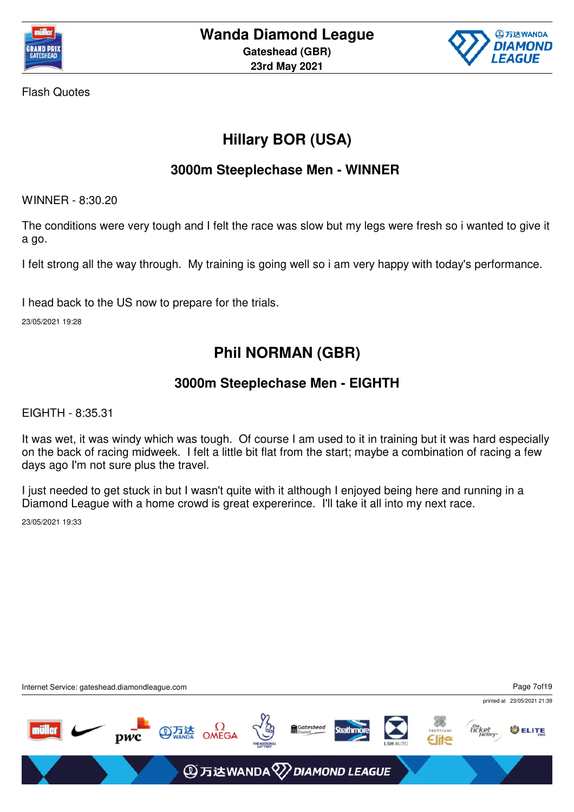



# **Hillary BOR (USA)**

### **3000m Steeplechase Men - WINNER**

WINNER - 8:30.20

The conditions were very tough and I felt the race was slow but my legs were fresh so i wanted to give it a go.

I felt strong all the way through. My training is going well so i am very happy with today's performance.

I head back to the US now to prepare for the trials.

23/05/2021 19:28

### **Phil NORMAN (GBR)**

#### **3000m Steeplechase Men - EIGHTH**

EIGHTH - 8:35.31

It was wet, it was windy which was tough. Of course I am used to it in training but it was hard especially on the back of racing midweek. I felt a little bit flat from the start; maybe a combination of racing a few days ago I'm not sure plus the travel.

I just needed to get stuck in but I wasn't quite with it although I enjoyed being here and running in a Diamond League with a home crowd is great expererince. I'll take it all into my next race.

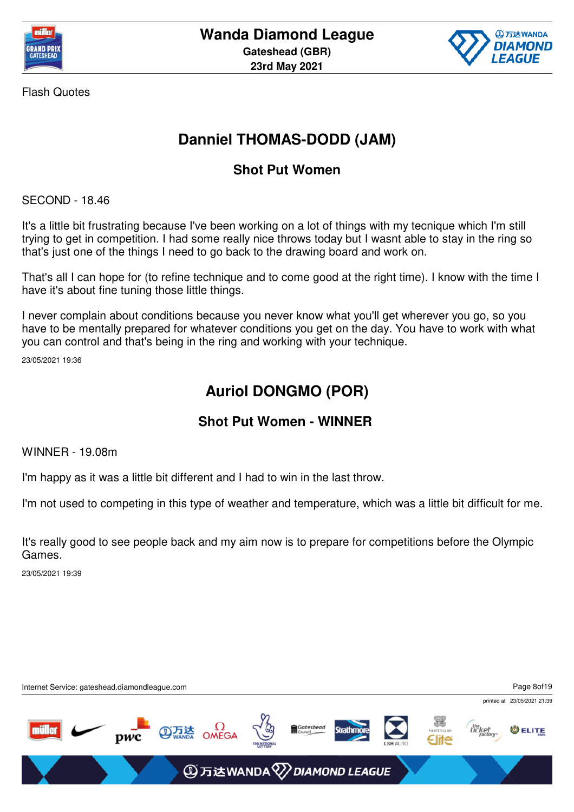



## **Danniel THOMAS-DODD (JAM)**

### **Shot Put Women**

SECOND - 18.46

It's a little bit frustrating because I've been working on a lot of things with my tecnique which I'm still trying to get in competition. I had some really nice throws today but I wasnt able to stay in the ring so that's just one of the things I need to go back to the drawing board and work on.

That's all I can hope for (to refine technique and to come good at the right time). I know with the time I have it's about fine tuning those little things.

I never complain about conditions because you never know what you'll get wherever you go, so you have to be mentally prepared for whatever conditions you get on the day. You have to work with what you can control and that's being in the ring and working with your technique.

23/05/2021 19:36

## **Auriol DONGMO (POR)**

### **Shot Put Women - WINNER**

WINNER - 19.08m

I'm happy as it was a little bit different and I had to win in the last throw.

I'm not used to competing in this type of weather and temperature, which was a little bit difficult for me.

It's really good to see people back and my aim now is to prepare for competitions before the Olympic Games.

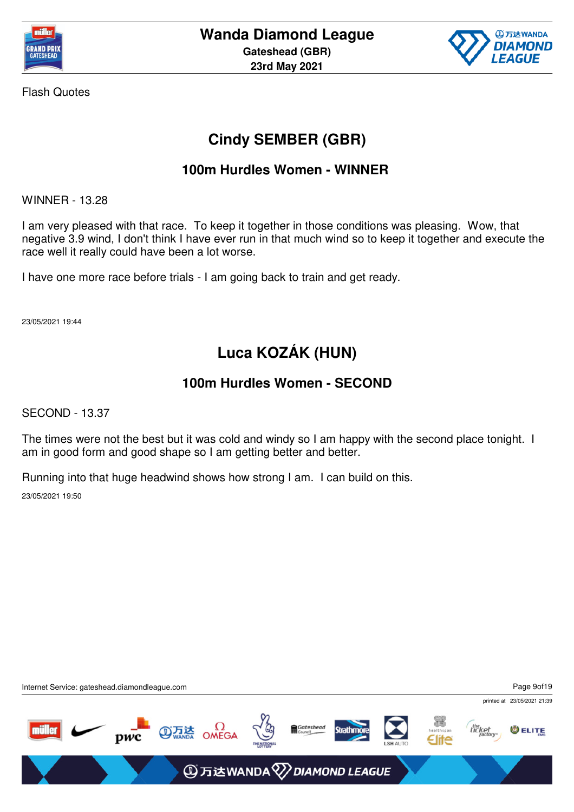



## **Cindy SEMBER (GBR)**

### **100m Hurdles Women - WINNER**

WINNER - 13.28

I am very pleased with that race. To keep it together in those conditions was pleasing. Wow, that negative 3.9 wind, I don't think I have ever run in that much wind so to keep it together and execute the race well it really could have been a lot worse.

I have one more race before trials - I am going back to train and get ready.

23/05/2021 19:44

# **Luca KOZÁK (HUN)**

#### **100m Hurdles Women - SECOND**

SECOND - 13.37

The times were not the best but it was cold and windy so I am happy with the second place tonight. I am in good form and good shape so I am getting better and better.

Running into that huge headwind shows how strong I am. I can build on this.

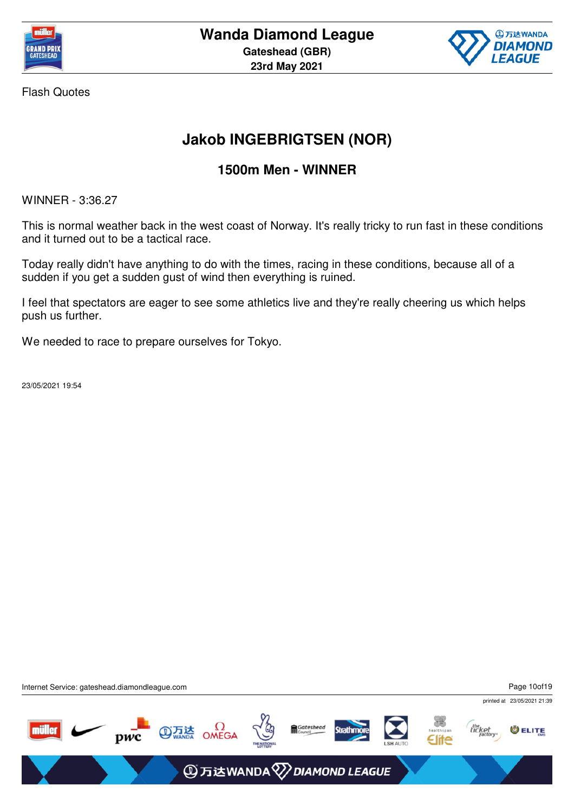



## **Jakob INGEBRIGTSEN (NOR)**

### **1500m Men - WINNER**

WINNER - 3:36.27

This is normal weather back in the west coast of Norway. It's really tricky to run fast in these conditions and it turned out to be a tactical race.

Today really didn't have anything to do with the times, racing in these conditions, because all of a sudden if you get a sudden gust of wind then everything is ruined.

I feel that spectators are eager to see some athletics live and they're really cheering us which helps push us further.

We needed to race to prepare ourselves for Tokyo.

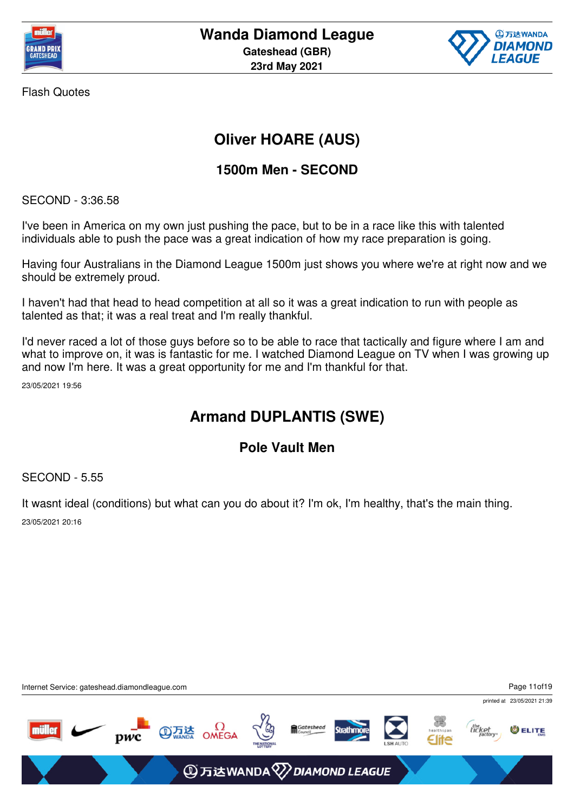



# **Oliver HOARE (AUS)**

### **1500m Men - SECOND**

SECOND - 3:36.58

I've been in America on my own just pushing the pace, but to be in a race like this with talented individuals able to push the pace was a great indication of how my race preparation is going.

Having four Australians in the Diamond League 1500m just shows you where we're at right now and we should be extremely proud.

I haven't had that head to head competition at all so it was a great indication to run with people as talented as that; it was a real treat and I'm really thankful.

I'd never raced a lot of those guys before so to be able to race that tactically and figure where I am and what to improve on, it was is fantastic for me. I watched Diamond League on TV when I was growing up and now I'm here. It was a great opportunity for me and I'm thankful for that.

23/05/2021 19:56

## **Armand DUPLANTIS (SWE)**

### **Pole Vault Men**

SECOND - 5.55

It wasnt ideal (conditions) but what can you do about it? I'm ok, I'm healthy, that's the main thing. 23/05/2021 20:16

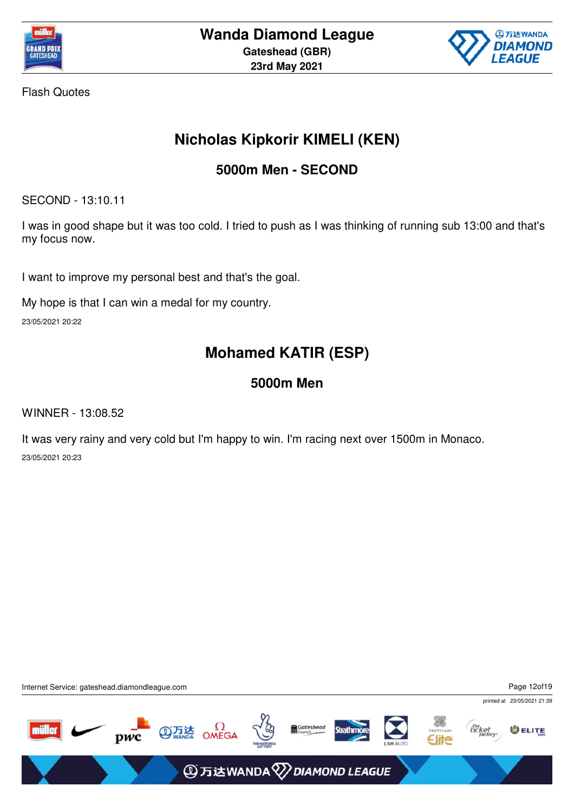



## **Nicholas Kipkorir KIMELI (KEN)**

### **5000m Men - SECOND**

SECOND - 13:10.11

I was in good shape but it was too cold. I tried to push as I was thinking of running sub 13:00 and that's my focus now.

I want to improve my personal best and that's the goal.

My hope is that I can win a medal for my country.

23/05/2021 20:22

# **Mohamed KATIR (ESP)**

### **5000m Men**

WINNER - 13:08.52

It was very rainy and very cold but I'm happy to win. I'm racing next over 1500m in Monaco. 23/05/2021 20:23

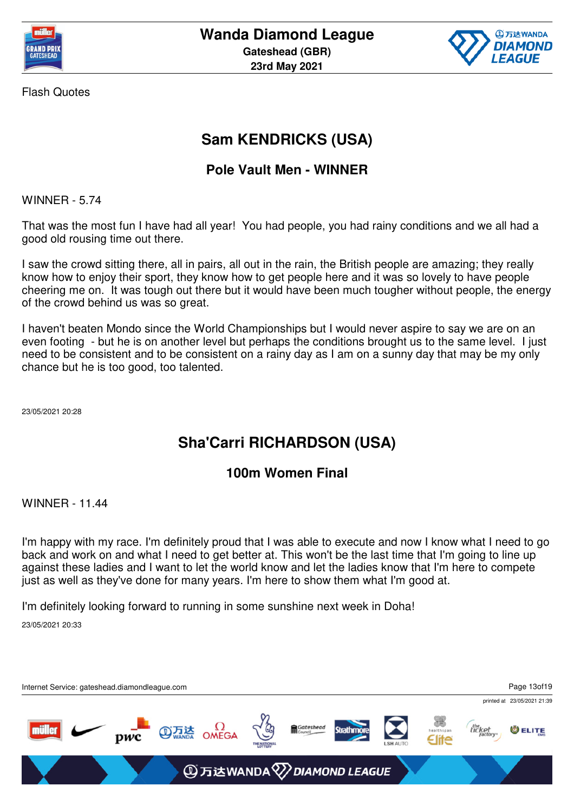



## **Sam KENDRICKS (USA)**

### **Pole Vault Men - WINNER**

WINNER - 5.74

That was the most fun I have had all year! You had people, you had rainy conditions and we all had a good old rousing time out there.

I saw the crowd sitting there, all in pairs, all out in the rain, the British people are amazing; they really know how to enjoy their sport, they know how to get people here and it was so lovely to have people cheering me on. It was tough out there but it would have been much tougher without people, the energy of the crowd behind us was so great.

I haven't beaten Mondo since the World Championships but I would never aspire to say we are on an even footing - but he is on another level but perhaps the conditions brought us to the same level. I just need to be consistent and to be consistent on a rainy day as I am on a sunny day that may be my only chance but he is too good, too talented.

23/05/2021 20:28

## **Sha'Carri RICHARDSON (USA)**

#### **100m Women Final**

WINNER - 11.44

I'm happy with my race. I'm definitely proud that I was able to execute and now I know what I need to go back and work on and what I need to get better at. This won't be the last time that I'm going to line up against these ladies and I want to let the world know and let the ladies know that I'm here to compete just as well as they've done for many years. I'm here to show them what I'm good at.

I'm definitely looking forward to running in some sunshine next week in Doha!

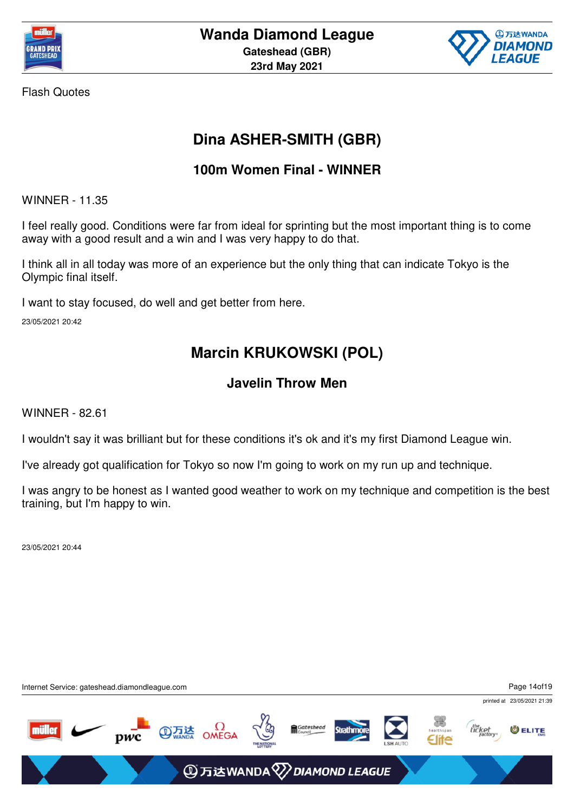



## **Dina ASHER-SMITH (GBR)**

### **100m Women Final - WINNER**

WINNER - 11.35

I feel really good. Conditions were far from ideal for sprinting but the most important thing is to come away with a good result and a win and I was very happy to do that.

I think all in all today was more of an experience but the only thing that can indicate Tokyo is the Olympic final itself.

I want to stay focused, do well and get better from here.

23/05/2021 20:42

## **Marcin KRUKOWSKI (POL)**

### **Javelin Throw Men**

WINNER - 82.61

I wouldn't say it was brilliant but for these conditions it's ok and it's my first Diamond League win.

I've already got qualification for Tokyo so now I'm going to work on my run up and technique.

I was angry to be honest as I wanted good weather to work on my technique and competition is the best training, but I'm happy to win.

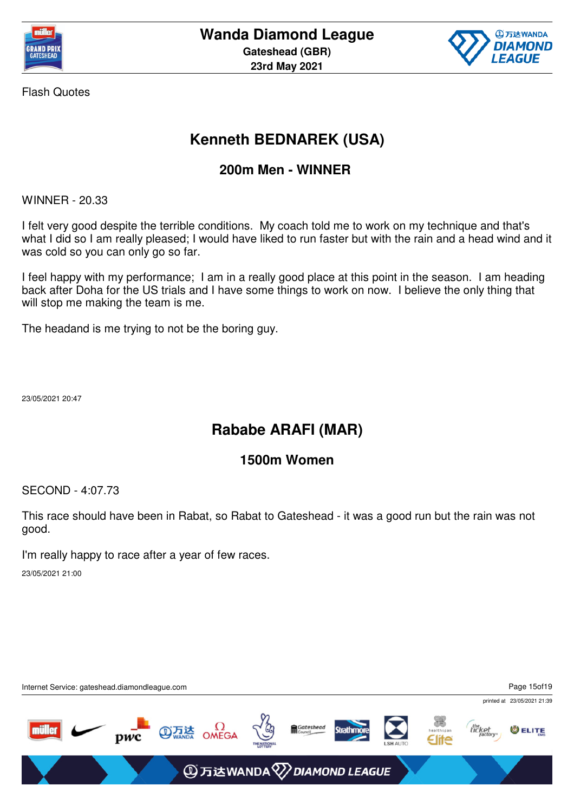



# **Kenneth BEDNAREK (USA)**

### **200m Men - WINNER**

WINNER - 20.33

I felt very good despite the terrible conditions. My coach told me to work on my technique and that's what I did so I am really pleased; I would have liked to run faster but with the rain and a head wind and it was cold so you can only go so far.

I feel happy with my performance; I am in a really good place at this point in the season. I am heading back after Doha for the US trials and I have some things to work on now. I believe the only thing that will stop me making the team is me.

The headand is me trying to not be the boring guy.

23/05/2021 20:47

### **Rababe ARAFI (MAR)**

#### **1500m Women**

SECOND - 4:07.73

This race should have been in Rabat, so Rabat to Gateshead - it was a good run but the rain was not good.

I'm really happy to race after a year of few races.

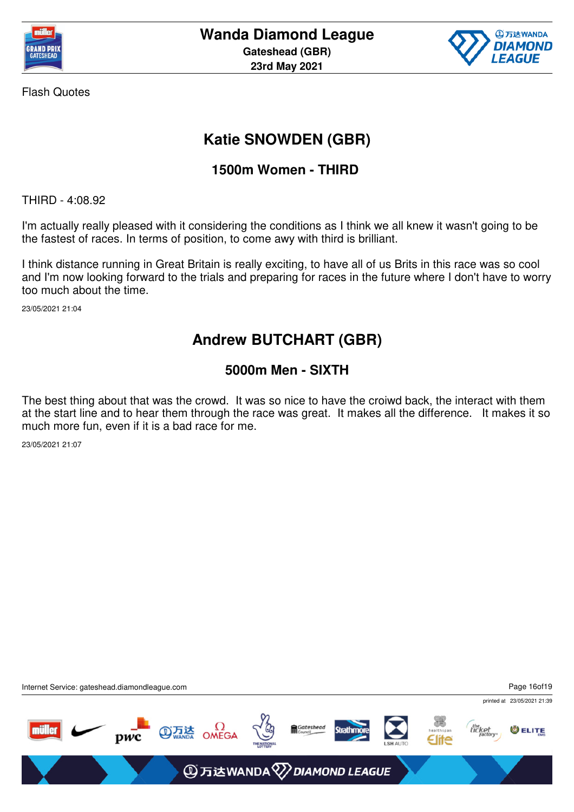



## **Katie SNOWDEN (GBR)**

### **1500m Women - THIRD**

THIRD - 4:08.92

I'm actually really pleased with it considering the conditions as I think we all knew it wasn't going to be the fastest of races. In terms of position, to come awy with third is brilliant.

I think distance running in Great Britain is really exciting, to have all of us Brits in this race was so cool and I'm now looking forward to the trials and preparing for races in the future where I don't have to worry too much about the time.

23/05/2021 21:04

### **Andrew BUTCHART (GBR)**

### **5000m Men - SIXTH**

The best thing about that was the crowd. It was so nice to have the croiwd back, the interact with them at the start line and to hear them through the race was great. It makes all the difference. It makes it so much more fun, even if it is a bad race for me.

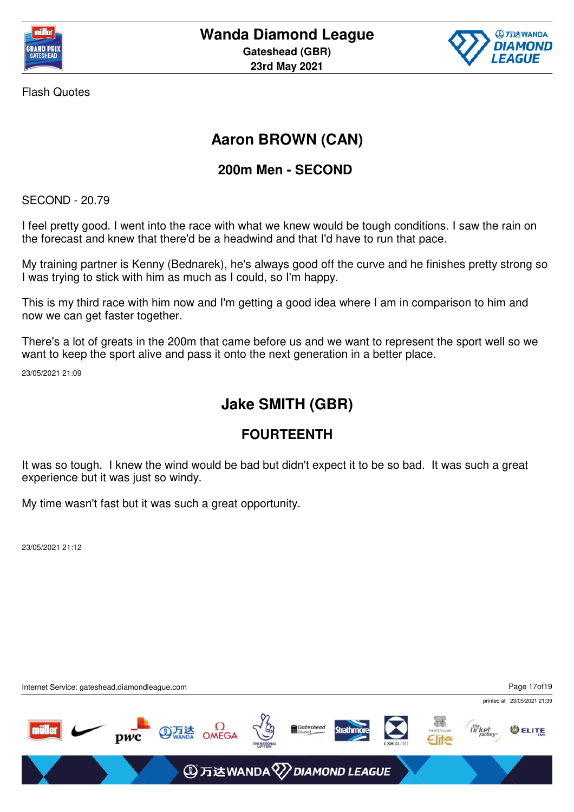



## **Aaron BROWN (CAN)**

### **200m Men - SECOND**

SECOND - 20.79

I feel pretty good. I went into the race with what we knew would be tough conditions. I saw the rain on the forecast and knew that there'd be a headwind and that I'd have to run that pace.

My training partner is Kenny (Bednarek), he's always good off the curve and he finishes pretty strong so I was trying to stick with him as much as I could, so I'm happy.

This is my third race with him now and I'm getting a good idea where I am in comparison to him and now we can get faster together.

There's a lot of greats in the 200m that came before us and we want to represent the sport well so we want to keep the sport alive and pass it onto the next generation in a better place.

23/05/2021 21:09

### **Jake SMITH (GBR)**

### **FOURTEENTH**

It was so tough. I knew the wind would be bad but didn't expect it to be so bad. It was such a great experience but it was just so windy.

My time wasn't fast but it was such a great opportunity.

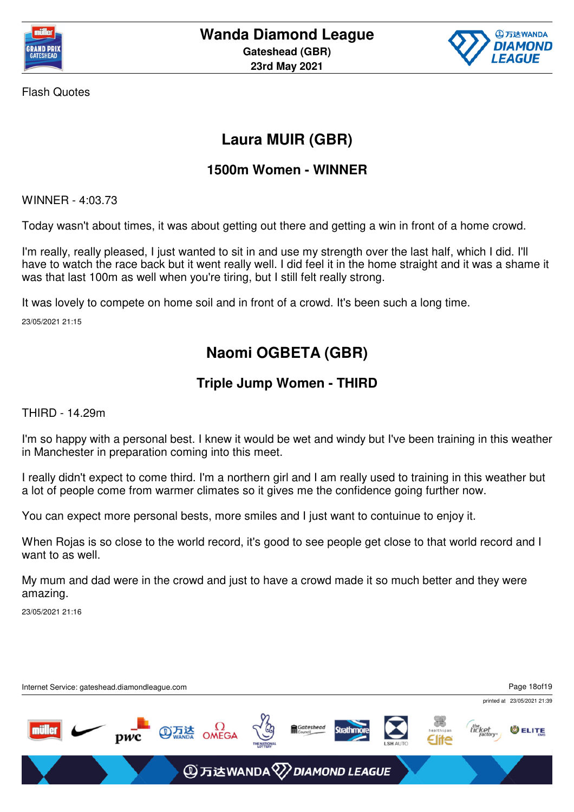



## **Laura MUIR (GBR)**

### **1500m Women - WINNER**

WINNER - 4:03.73

Today wasn't about times, it was about getting out there and getting a win in front of a home crowd.

I'm really, really pleased, I just wanted to sit in and use my strength over the last half, which I did. I'll have to watch the race back but it went really well. I did feel it in the home straight and it was a shame it was that last 100m as well when you're tiring, but I still felt really strong.

It was lovely to compete on home soil and in front of a crowd. It's been such a long time.

23/05/2021 21:15

# **Naomi OGBETA (GBR)**

### **Triple Jump Women - THIRD**

THIRD - 14.29m

I'm so happy with a personal best. I knew it would be wet and windy but I've been training in this weather in Manchester in preparation coming into this meet.

I really didn't expect to come third. I'm a northern girl and I am really used to training in this weather but a lot of people come from warmer climates so it gives me the confidence going further now.

You can expect more personal bests, more smiles and I just want to contuinue to enjoy it.

When Rojas is so close to the world record, it's good to see people get close to that world record and I want to as well.

My mum and dad were in the crowd and just to have a crowd made it so much better and they were amazing.